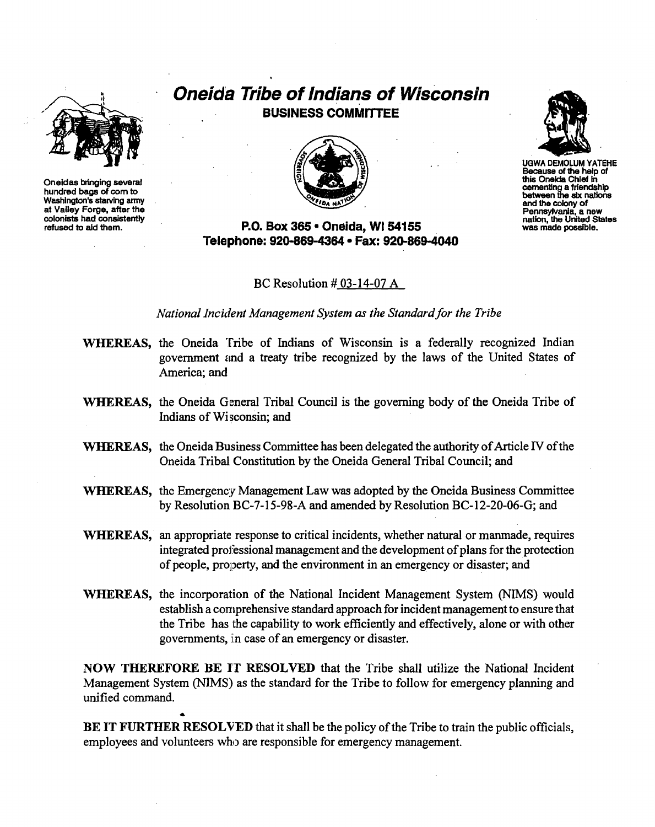

Oneidas bringing several hundred bags of com to Washington's starving army at Valley Forge, after the colonists had consistently refused to aid them.

## **Oneida Tribe of Indians of Wisconsin** BUSINESS COMMITTEE



P.o. Box 365· Oneida, WI 54155 Telephone: 920-869-4364 • Fax: 920-869-4040

BC Resolution # 03-14-07 A

*National Incident Management System as the Standard/or the Tribe*

- WHEREAS, the Oneida Tribe of Indians of Wisconsin is a federally recognized Indian government and a treaty tribe recognized by the laws of the United States of America; and
- WHEREAS, the Oneida General Tribal Council is the governing body of the Oneida Tribe of Indians of Wi sconsin; and
- WHEREAS, the Oneida Business Committee has been delegated the authority of Article IV of the Oneida Tribal Constitution by the Oneida General Tribal Council; and
- WHEREAS, the Emergency Management Law was adopted by the Oneida Business Committee by Resolution BC-7-l5-98-A and amended by Resolution BC-12-20-06-G; and
- WHEREAS, an appropriate response to critical incidents, whether natural or manmade, requires integrated professional management and the development of plans for the protection of people, property, and the environment in an emergency or disaster; and
- WHEREAS, the incorporation of the National Incident Management System (NIMS) would establish a comprehensive standard approach for incident management to ensure that the Tribe has the capability to work efficiently and effectively, alone or with other governments, in case of an emergency or disaster.

NOW THEREFORE BE IT RESOLVED that the Tribe shall utilize the National Incident Management System (NIMS) as the standard for the Tribe to follow for emergency planning and unified command.

BE IT FURTHER RESOLVED that it shall be the policy of the Tribe to train the public officials, employees and volunteers who are responsible for emergency management.

..



UGWA DEMOLUM YATEHE Because of the help of this Oneida Chief In cementing a friendship between the six nations and the colony of Pennsylvania, a new nation, the United States was made possible.